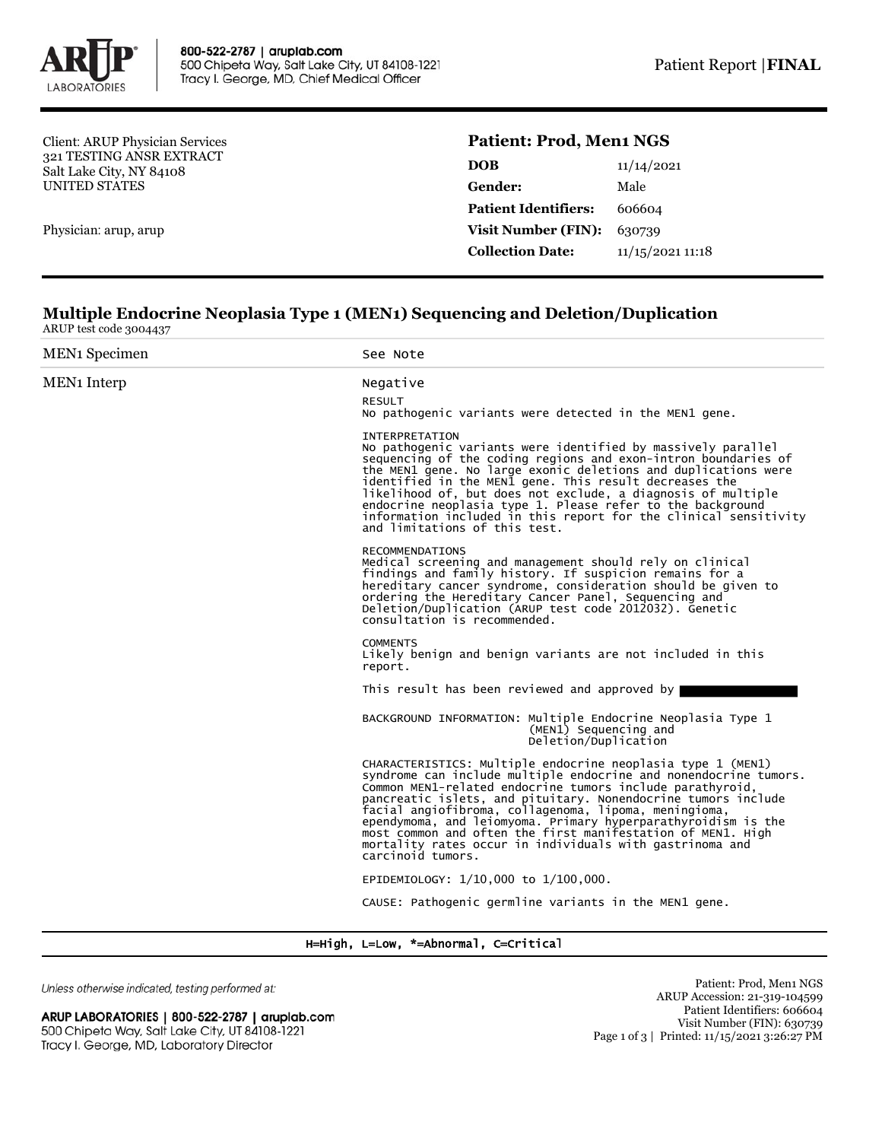

Client: ARUP Physician Services 321 TESTING ANSR EXTRACT Salt Lake City, NY 84108 UNITED STATES

Physician: arup, arup

## **Patient: Prod, Men1 NGS**

| <b>DOB</b>                  | 11/14/2021       |  |
|-----------------------------|------------------|--|
| Gender:                     | Male             |  |
| <b>Patient Identifiers:</b> | 606604           |  |
| <b>Visit Number (FIN):</b>  | 630739           |  |
| <b>Collection Date:</b>     | 11/15/2021 11:18 |  |
|                             |                  |  |

## **Multiple Endocrine Neoplasia Type 1 (MEN1) Sequencing and Deletion/Duplication** ARUP test code 3004437

| <b>MEN<sub>1</sub></b> Specimen | See Note                                                                                                                                                                                                                                                                                                                                                                                                                                                                                                                                |
|---------------------------------|-----------------------------------------------------------------------------------------------------------------------------------------------------------------------------------------------------------------------------------------------------------------------------------------------------------------------------------------------------------------------------------------------------------------------------------------------------------------------------------------------------------------------------------------|
| <b>MEN<sub>1</sub></b> Interp   | Negative                                                                                                                                                                                                                                                                                                                                                                                                                                                                                                                                |
|                                 | <b>RESULT</b><br>No pathogenic variants were detected in the MEN1 gene.                                                                                                                                                                                                                                                                                                                                                                                                                                                                 |
|                                 | <b>INTERPRETATION</b><br>No pathogenic variants were identified by massively parallel<br>sequencing of the coding regions and exon-intron boundaries of<br>the MEN1 gene. No large exonic deletions and duplications were<br>identified in the MEN1 gene. This result decreases the<br>likelihood of, but does not exclude, a diagnosis of multiple<br>endocrine neoplasia type 1. Please refer to the background<br>information included in this report for the clinical sensitivity<br>and limitations of this test.                  |
|                                 | <b>RECOMMENDATIONS</b><br>Medical screening and management should rely on clinical<br>findings and family history. If suspicion remains for a<br>hereditary cancer syndrome, consideration should be given to<br>ordering the Hereditary Cancer Panel, Sequencing and<br>Deletion/Duplication (ARUP test code 2012032). Genetic<br>consultation is recommended.                                                                                                                                                                         |
|                                 | <b>COMMENTS</b><br>Likely benign and benign variants are not included in this<br>report.                                                                                                                                                                                                                                                                                                                                                                                                                                                |
|                                 | This result has been reviewed and approved by                                                                                                                                                                                                                                                                                                                                                                                                                                                                                           |
|                                 | BACKGROUND INFORMATION: Multiple Endocrine Neoplasia Type 1<br>(MEN1) Sequencing and<br>Deletion/Duplication                                                                                                                                                                                                                                                                                                                                                                                                                            |
|                                 | CHARACTERISTICS: Multiple endocrine neoplasia type 1 (MEN1)<br>syndrome can include multiple endocrine and nonendocrine tumors.<br>Common MEN1-related endocrine tumors include parathyroid,<br>pancreatic islets, and pituitary. Nonendocrine tumors include<br>facial angiofibroma, collagenoma, lipoma, meningioma,<br>ependymoma, and leiomyoma. Primary hyperparathyroidism is the<br>most common and often the first manifestation of MEN1. High<br>mortality rates occur in individuals with gastrinoma and<br>carcinoid tumors. |
|                                 | EPIDEMIOLOGY: 1/10,000 to 1/100,000.                                                                                                                                                                                                                                                                                                                                                                                                                                                                                                    |
|                                 | CAUSE: Pathogenic germline variants in the MEN1 gene.                                                                                                                                                                                                                                                                                                                                                                                                                                                                                   |

H=High, L=Low, \*=Abnormal, C=Critical

Unless otherwise indicated, testing performed at:

ARUP LABORATORIES | 800-522-2787 | aruplab.com 500 Chipeta Way, Salt Lake City, UT 84108-1221 Tracy I. George, MD, Laboratory Director

Patient: Prod, Men1 NGS ARUP Accession: 21-319-104599 Patient Identifiers: 606604 Visit Number (FIN): 630739 Page 1 of 3 | Printed: 11/15/2021 3:26:27 PM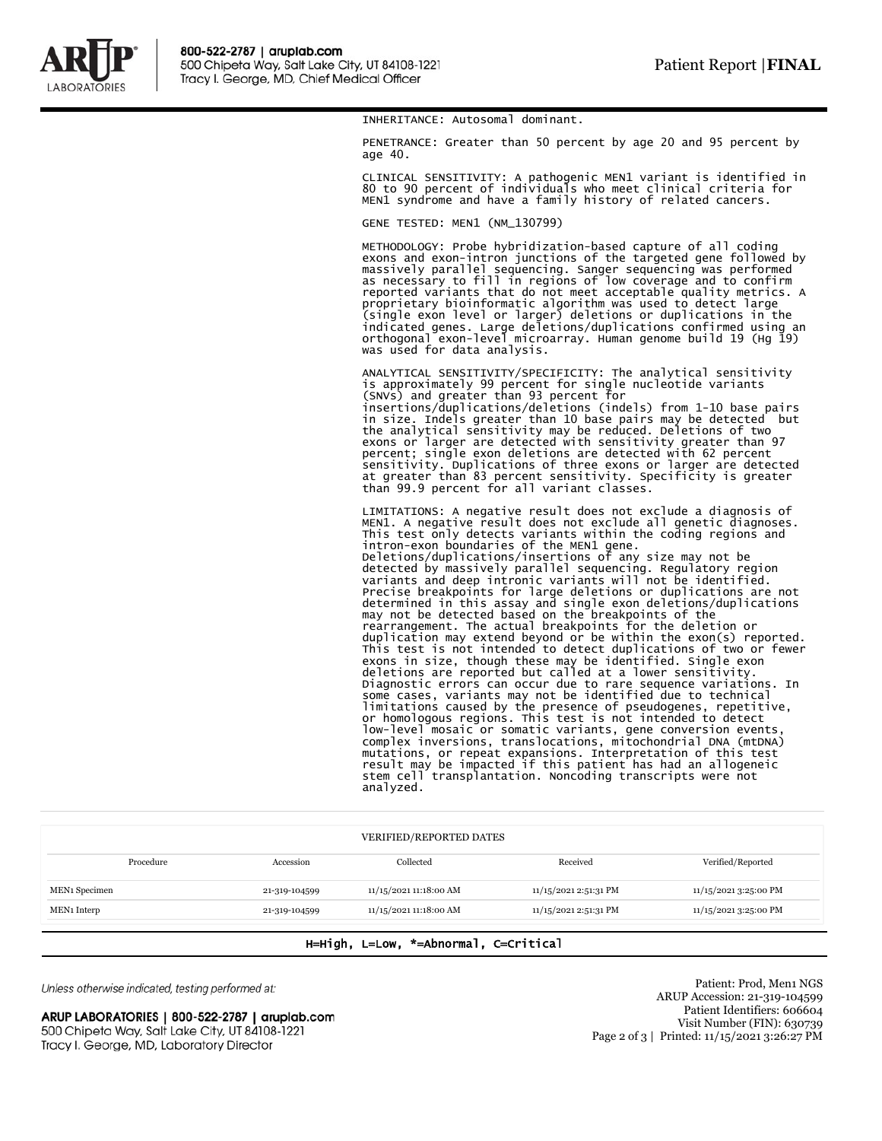

INHERITANCE: Autosomal dominant.

PENETRANCE: Greater than 50 percent by age 20 and 95 percent by age 40.

CLINICAL SENSITIVITY: A pathogenic MEN1 variant is identified in 80 to 90 percent of individuals who meet clinical criteria for MEN1 syndrome and have a family history of related cancers.

GENE TESTED: MEN1 (NM\_130799)

METHODOLOGY: Probe hybridization-based capture of all coding exons and exon-intron junctions of the targeted gene followed by massively parallel sequencing. Sanger sequencing was performed as necessary to fill in regions of low coverage and to confirm reported variants that do not meet acceptable quality metrics. A proprietary bioinformatic algorithm was used to detect large (single exon level or larger) deletions or duplications in the indicated genes. Large deletions/duplications confirmed using an orthogonal exon-level microarray. Human genome build 19 (Hg 19) was used for data analysis.

ANALYTICAL SENSITIVITY/SPECIFICITY: The analytical sensitivity is approximately 99 percent for single nucleotide variants (SNVs) and greater than 93 percent for insertions/duplications/deletions (indels) from 1-10 base pairs in size. Indels greater than 10 base pairs may be detected but<br>the analytical sensitivity may be reduced. Deletions of two<br>exons or larger are detected with sensitivity greater than 97<br>percent; single exon deletions are de than 99.9 percent for all variant classes.

LIMITATIONS: A negative result does not exclude a diagnosis of MEN1. A negative result does not exclude all genetic diagnoses. This test only detects variants within the coding regions and intron-exon boundaries of the MEN1 gene. Deletions/duplications/insertions of any size may not be detected by massively parallel sequencing. Regulatory region variants and deep intronic variants will not be identified. Precise breakpoints for large deletions or duplications are not determined in this assay and single exon deletions/duplications may not be detected based on the breakpoints of the rearrangement. The actual breakpoints for the deletion or duplication may extend beyond or be within the exon(s) reported. This test is not intended to detect duplications of two or fewer exons in size, though these may be identified. Single exon deletions are reported but called at a lower sensitivity. Diagnostic errors can occur due to rare sequence variations. In some cases, variants may not be identified due to technical limitations caused by the presence of pseudogenes, repetitive, or homologous regions. This test is not intended to detect<br>low-level mosaic or somatic variants, gene conversion events,<br>complex inversions, translocations, mitochondrial DNA (mtDNA) mutations, or repeat expansions. Interpretation of this test result may be impacted if this patient has had an allogeneic stem cell transplantation. Noncoding transcripts were not analyzed.

| <b>VERIFIED/REPORTED DATES</b> |               |                        |                       |                       |  |
|--------------------------------|---------------|------------------------|-----------------------|-----------------------|--|
| Procedure                      | Accession     | Collected              | Received              | Verified/Reported     |  |
| MEN <sub>1</sub> Specimen      | 21-319-104599 | 11/15/2021 11:18:00 AM | 11/15/2021 2:51:31 PM | 11/15/2021 3:25:00 PM |  |
| MEN <sub>1</sub> Interp        | 21-319-104599 | 11/15/2021 11:18:00 AM | 11/15/2021 2:51:31 PM | 11/15/2021 3:25:00 PM |  |

## H=High, L=Low, \*=Abnormal, C=Critical

Unless otherwise indicated, testing performed at:

ARUP LABORATORIES | 800-522-2787 | aruplab.com 500 Chipeta Way, Salt Lake City, UT 84108-1221 Tracy I. George, MD, Laboratory Director

Patient: Prod, Men1 NGS ARUP Accession: 21-319-104599 Patient Identifiers: 606604 Visit Number (FIN): 630739 Page 2 of 3 | Printed: 11/15/2021 3:26:27 PM